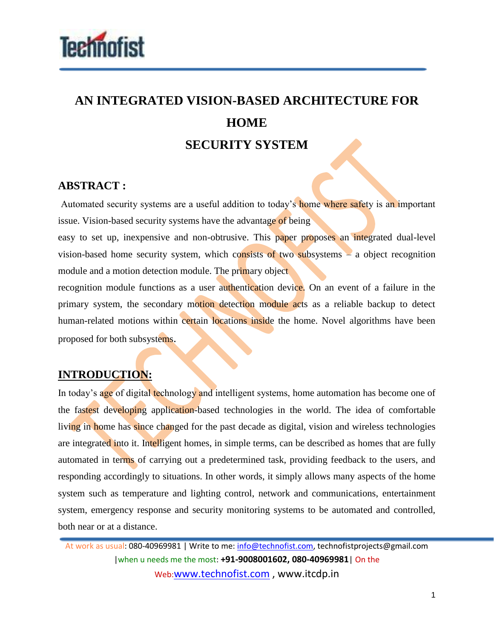

## **AN INTEGRATED VISION-BASED ARCHITECTURE FOR HOME SECURITY SYSTEM**

## **ABSTRACT :**

Automated security systems are a useful addition to today's home where safety is an important issue. Vision-based security systems have the advantage of being

easy to set up, inexpensive and non-obtrusive. This paper proposes an integrated dual-level vision-based home security system, which consists of two subsystems – a object recognition module and a motion detection module. The primary object

recognition module functions as a user authentication device. On an event of a failure in the primary system, the secondary motion detection module acts as a reliable backup to detect human-related motions within certain locations inside the home. Novel algorithms have been proposed for both subsystems.

## **INTRODUCTION:**

In today's age of digital technology and intelligent systems, home automation has become one of the fastest developing application-based technologies in the world. The idea of comfortable living in home has since changed for the past decade as digital, vision and wireless technologies are integrated into it. Intelligent homes, in simple terms, can be described as homes that are fully automated in terms of carrying out a predetermined task, providing feedback to the users, and responding accordingly to situations. In other words, it simply allows many aspects of the home system such as temperature and lighting control, network and communications, entertainment system, emergency response and security monitoring systems to be automated and controlled, both near or at a distance.

At work as usual: 080-40969981 | Write to me: info@technofist.com, technofistprojects@gmail.com |when u needs me the most: **+91-9008001602, 080-40969981**| On the Web:www.technofist.com , www.itcdp.in